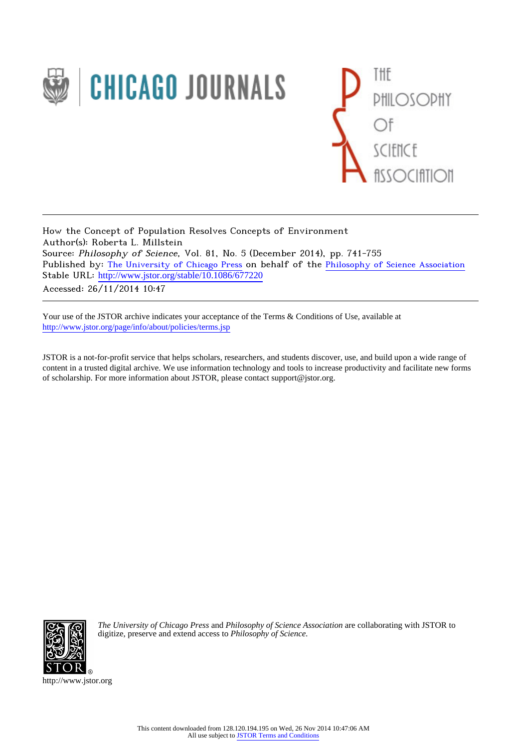



How the Concept of Population Resolves Concepts of Environment Author(s): Roberta L. Millstein Source: Philosophy of Science, Vol. 81, No. 5 (December 2014), pp. 741-755 Published by: [The University of Chicago Press](http://www.jstor.org/action/showPublisher?publisherCode=ucpress) on behalf of the [Philosophy of Science Association](http://www.jstor.org/action/showPublisher?publisherCode=psa) Stable URL: http://www.jstor.org/stable/10.1086/677220 Accessed: 26/11/2014 10:47

Your use of the JSTOR archive indicates your acceptance of the Terms & Conditions of Use, available at <http://www.jstor.org/page/info/about/policies/terms.jsp>

JSTOR is a not-for-profit service that helps scholars, researchers, and students discover, use, and build upon a wide range of content in a trusted digital archive. We use information technology and tools to increase productivity and facilitate new forms of scholarship. For more information about JSTOR, please contact support@jstor.org.



*The University of Chicago Press* and *Philosophy of Science Association* are collaborating with JSTOR to digitize, preserve and extend access to *Philosophy of Science.*

http://www.jstor.org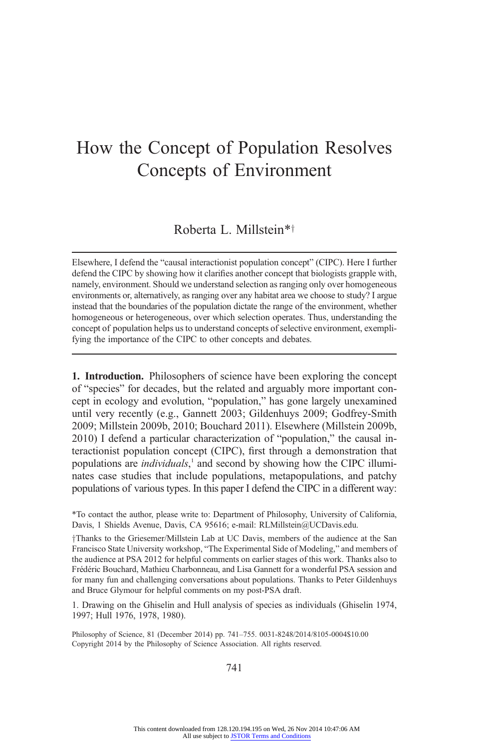## How the Concept of Population Resolves Concepts of Environment

Roberta L. Millstein\*†

Elsewhere, I defend the "causal interactionist population concept" (CIPC). Here I further defend the CIPC by showing how it clarifies another concept that biologists grapple with, namely, environment. Should we understand selection as ranging only over homogeneous environments or, alternatively, as ranging over any habitat area we choose to study? I argue instead that the boundaries of the population dictate the range of the environment, whether homogeneous or heterogeneous, over which selection operates. Thus, understanding the concept of population helps us to understand concepts of selective environment, exemplifying the importance of the CIPC to other concepts and debates.

1. Introduction. Philosophers of science have been exploring the concept of "species" for decades, but the related and arguably more important concept in ecology and evolution, "population," has gone largely unexamined until very recently (e.g., Gannett 2003; Gildenhuys 2009; Godfrey-Smith 2009; Millstein 2009b, 2010; Bouchard 2011). Elsewhere (Millstein 2009b, 2010) I defend a particular characterization of "population," the causal interactionist population concept (CIPC), first through a demonstration that populations are *individuals*,<sup>1</sup> and second by showing how the CIPC illuminates case studies that include populations, metapopulations, and patchy populations of various types. In this paper I defend the CIPC in a different way:

<sup>†</sup>Thanks to the Griesemer/Millstein Lab at UC Davis, members of the audience at the San Francisco State University workshop, "The Experimental Side of Modeling," and members of the audience at PSA 2012 for helpful comments on earlier stages of this work. Thanks also to Frédéric Bouchard, Mathieu Charbonneau, and Lisa Gannett for a wonderful PSA session and for many fun and challenging conversations about populations. Thanks to Peter Gildenhuys and Bruce Glymour for helpful comments on my post-PSA draft.

1. Drawing on the Ghiselin and Hull analysis of species as individuals (Ghiselin 1974, 1997; Hull 1976, 1978, 1980).

Philosophy of Science, 81 (December 2014) pp. 741–755. 0031-8248/2014/8105-0004\$10.00 Copyright 2014 by the Philosophy of Science Association. All rights reserved.

<sup>\*</sup>To contact the author, please write to: Department of Philosophy, University of California, Davis, 1 Shields Avenue, Davis, CA 95616; e-mail: RLMillstein@UCDavis.edu.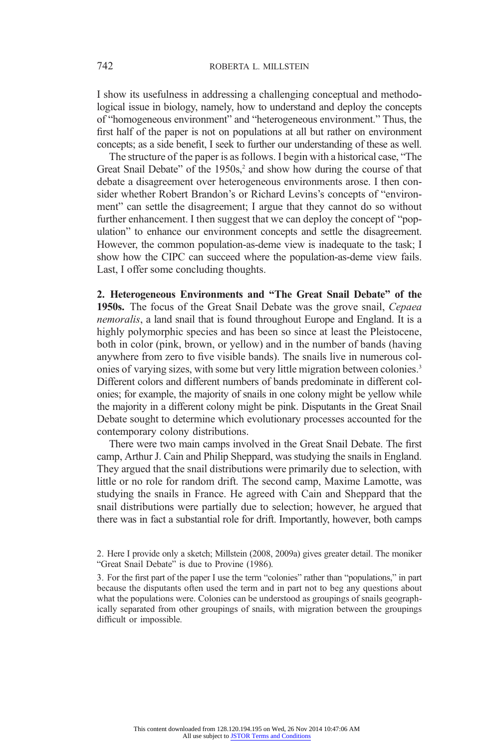I show its usefulness in addressing a challenging conceptual and methodological issue in biology, namely, how to understand and deploy the concepts of "homogeneous environment" and "heterogeneous environment." Thus, the first half of the paper is not on populations at all but rather on environment concepts; as a side benefit, I seek to further our understanding of these as well.

The structure of the paper is as follows. I begin with a historical case, "The Great Snail Debate" of the  $1950s$ ,  $2$  and show how during the course of that debate a disagreement over heterogeneous environments arose. I then consider whether Robert Brandon's or Richard Levins's concepts of "environment" can settle the disagreement; I argue that they cannot do so without further enhancement. I then suggest that we can deploy the concept of "population" to enhance our environment concepts and settle the disagreement. However, the common population-as-deme view is inadequate to the task; I show how the CIPC can succeed where the population-as-deme view fails. Last, I offer some concluding thoughts.

2. Heterogeneous Environments and "The Great Snail Debate" of the 1950s. The focus of the Great Snail Debate was the grove snail, Cepaea nemoralis, a land snail that is found throughout Europe and England. It is a highly polymorphic species and has been so since at least the Pleistocene, both in color (pink, brown, or yellow) and in the number of bands (having anywhere from zero to five visible bands). The snails live in numerous colonies of varying sizes, with some but very little migration between colonies.3 Different colors and different numbers of bands predominate in different colonies; for example, the majority of snails in one colony might be yellow while the majority in a different colony might be pink. Disputants in the Great Snail Debate sought to determine which evolutionary processes accounted for the contemporary colony distributions.

There were two main camps involved in the Great Snail Debate. The first camp, Arthur J. Cain and Philip Sheppard, was studying the snails in England. They argued that the snail distributions were primarily due to selection, with little or no role for random drift. The second camp, Maxime Lamotte, was studying the snails in France. He agreed with Cain and Sheppard that the snail distributions were partially due to selection; however, he argued that there was in fact a substantial role for drift. Importantly, however, both camps

<sup>2.</sup> Here I provide only a sketch; Millstein (2008, 2009a) gives greater detail. The moniker "Great Snail Debate" is due to Provine (1986).

<sup>3.</sup> For the first part of the paper I use the term "colonies" rather than "populations," in part because the disputants often used the term and in part not to beg any questions about what the populations were. Colonies can be understood as groupings of snails geographically separated from other groupings of snails, with migration between the groupings difficult or impossible.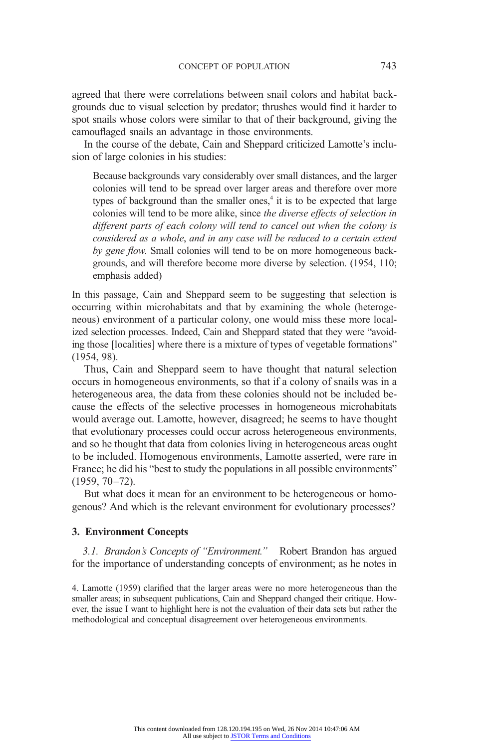agreed that there were correlations between snail colors and habitat backgrounds due to visual selection by predator; thrushes would find it harder to spot snails whose colors were similar to that of their background, giving the camouflaged snails an advantage in those environments.

In the course of the debate, Cain and Sheppard criticized Lamotte's inclusion of large colonies in his studies:

Because backgrounds vary considerably over small distances, and the larger colonies will tend to be spread over larger areas and therefore over more types of background than the smaller ones, $4$  it is to be expected that large colonies will tend to be more alike, since the diverse effects of selection in different parts of each colony will tend to cancel out when the colony is considered as a whole, and in any case will be reduced to a certain extent by gene flow. Small colonies will tend to be on more homogeneous backgrounds, and will therefore become more diverse by selection. (1954, 110; emphasis added)

In this passage, Cain and Sheppard seem to be suggesting that selection is occurring within microhabitats and that by examining the whole (heterogeneous) environment of a particular colony, one would miss these more localized selection processes. Indeed, Cain and Sheppard stated that they were "avoiding those [localities] where there is a mixture of types of vegetable formations" (1954, 98).

Thus, Cain and Sheppard seem to have thought that natural selection occurs in homogeneous environments, so that if a colony of snails was in a heterogeneous area, the data from these colonies should not be included because the effects of the selective processes in homogeneous microhabitats would average out. Lamotte, however, disagreed; he seems to have thought that evolutionary processes could occur across heterogeneous environments, and so he thought that data from colonies living in heterogeneous areas ought to be included. Homogenous environments, Lamotte asserted, were rare in France; he did his "best to study the populations in all possible environments" (1959, 70–72).

But what does it mean for an environment to be heterogeneous or homogenous? And which is the relevant environment for evolutionary processes?

## 3. Environment Concepts

3.1. Brandon's Concepts of "Environment." Robert Brandon has argued for the importance of understanding concepts of environment; as he notes in

4. Lamotte (1959) clarified that the larger areas were no more heterogeneous than the smaller areas; in subsequent publications, Cain and Sheppard changed their critique. However, the issue I want to highlight here is not the evaluation of their data sets but rather the methodological and conceptual disagreement over heterogeneous environments.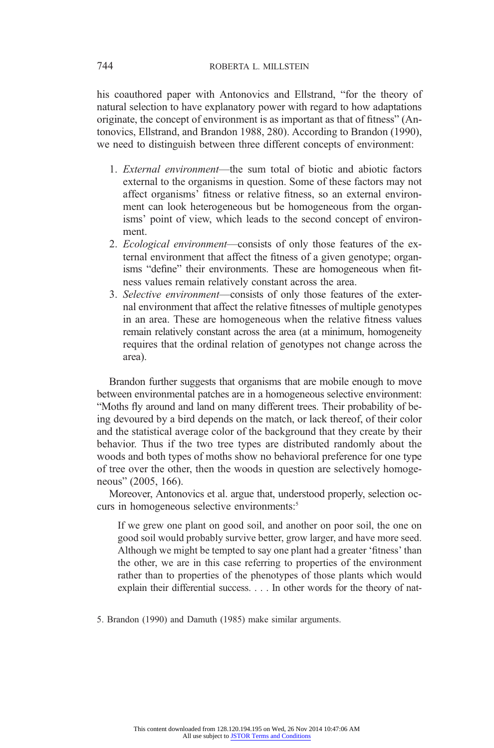his coauthored paper with Antonovics and Ellstrand, "for the theory of natural selection to have explanatory power with regard to how adaptations originate, the concept of environment is as important as that of fitness" (Antonovics, Ellstrand, and Brandon 1988, 280). According to Brandon (1990), we need to distinguish between three different concepts of environment:

- 1. External environment—the sum total of biotic and abiotic factors external to the organisms in question. Some of these factors may not affect organisms' fitness or relative fitness, so an external environment can look heterogeneous but be homogeneous from the organisms' point of view, which leads to the second concept of environment.
- 2. Ecological environment—consists of only those features of the external environment that affect the fitness of a given genotype; organisms "define" their environments. These are homogeneous when fitness values remain relatively constant across the area.
- 3. Selective environment—consists of only those features of the external environment that affect the relative fitnesses of multiple genotypes in an area. These are homogeneous when the relative fitness values remain relatively constant across the area (at a minimum, homogeneity requires that the ordinal relation of genotypes not change across the area).

Brandon further suggests that organisms that are mobile enough to move between environmental patches are in a homogeneous selective environment: "Moths fly around and land on many different trees. Their probability of being devoured by a bird depends on the match, or lack thereof, of their color and the statistical average color of the background that they create by their behavior. Thus if the two tree types are distributed randomly about the woods and both types of moths show no behavioral preference for one type of tree over the other, then the woods in question are selectively homogeneous" (2005, 166).

Moreover, Antonovics et al. argue that, understood properly, selection occurs in homogeneous selective environments:<sup>5</sup>

If we grew one plant on good soil, and another on poor soil, the one on good soil would probably survive better, grow larger, and have more seed. Although we might be tempted to say one plant had a greater 'fitness' than the other, we are in this case referring to properties of the environment rather than to properties of the phenotypes of those plants which would explain their differential success. . . . In other words for the theory of nat-

5. Brandon (1990) and Damuth (1985) make similar arguments.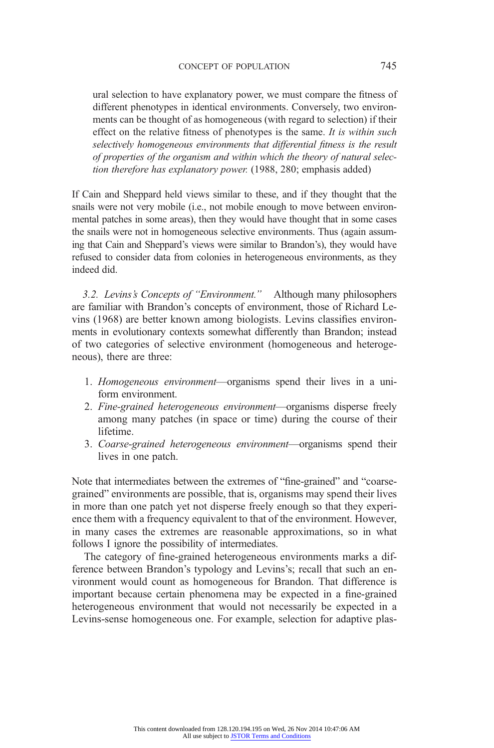ural selection to have explanatory power, we must compare the fitness of different phenotypes in identical environments. Conversely, two environments can be thought of as homogeneous (with regard to selection) if their effect on the relative fitness of phenotypes is the same. It is within such selectively homogeneous environments that differential fitness is the result of properties of the organism and within which the theory of natural selection therefore has explanatory power. (1988, 280; emphasis added)

If Cain and Sheppard held views similar to these, and if they thought that the snails were not very mobile (i.e., not mobile enough to move between environmental patches in some areas), then they would have thought that in some cases the snails were not in homogeneous selective environments. Thus (again assuming that Cain and Sheppard's views were similar to Brandon's), they would have refused to consider data from colonies in heterogeneous environments, as they indeed did.

3.2. Levins's Concepts of "Environment." Although many philosophers are familiar with Brandon's concepts of environment, those of Richard Levins (1968) are better known among biologists. Levins classifies environments in evolutionary contexts somewhat differently than Brandon; instead of two categories of selective environment (homogeneous and heterogeneous), there are three:

- 1. Homogeneous environment—organisms spend their lives in a uniform environment.
- 2. Fine-grained heterogeneous environment—organisms disperse freely among many patches (in space or time) during the course of their lifetime.
- 3. Coarse-grained heterogeneous environment—organisms spend their lives in one patch.

Note that intermediates between the extremes of "fine-grained" and "coarsegrained" environments are possible, that is, organisms may spend their lives in more than one patch yet not disperse freely enough so that they experience them with a frequency equivalent to that of the environment. However, in many cases the extremes are reasonable approximations, so in what follows I ignore the possibility of intermediates.

The category of fine-grained heterogeneous environments marks a difference between Brandon's typology and Levins's; recall that such an environment would count as homogeneous for Brandon. That difference is important because certain phenomena may be expected in a fine-grained heterogeneous environment that would not necessarily be expected in a Levins-sense homogeneous one. For example, selection for adaptive plas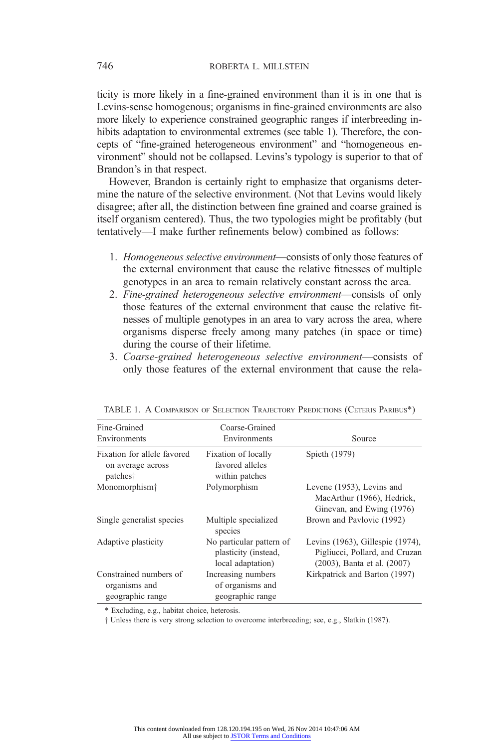ticity is more likely in a fine-grained environment than it is in one that is Levins-sense homogenous; organisms in fine-grained environments are also more likely to experience constrained geographic ranges if interbreeding inhibits adaptation to environmental extremes (see table 1). Therefore, the concepts of "fine-grained heterogeneous environment" and "homogeneous environment" should not be collapsed. Levins's typology is superior to that of Brandon's in that respect.

However, Brandon is certainly right to emphasize that organisms determine the nature of the selective environment. (Not that Levins would likely disagree; after all, the distinction between fine grained and coarse grained is itself organism centered). Thus, the two typologies might be profitably (but tentatively—I make further refinements below) combined as follows:

- 1. Homogeneous selective environment—consists of only those features of the external environment that cause the relative fitnesses of multiple genotypes in an area to remain relatively constant across the area.
- 2. Fine-grained heterogeneous selective environment—consists of only those features of the external environment that cause the relative fitnesses of multiple genotypes in an area to vary across the area, where organisms disperse freely among many patches (in space or time) during the course of their lifetime.
- 3. Coarse-grained heterogeneous selective environment—consists of only those features of the external environment that cause the rela-

| Fine-Grained<br>Environments                                             | Coarse-Grained<br>Environments                                        | Source                                                                                                 |
|--------------------------------------------------------------------------|-----------------------------------------------------------------------|--------------------------------------------------------------------------------------------------------|
|                                                                          |                                                                       |                                                                                                        |
| Fixation for allele favored<br>on average across<br>patches <sup>†</sup> | Fixation of locally<br>favored alleles<br>within patches              | Spieth (1979)                                                                                          |
| Monomorphism <sup>+</sup>                                                | Polymorphism                                                          | Levene (1953), Levins and<br>MacArthur (1966), Hedrick,<br>Ginevan, and Ewing (1976)                   |
| Single generalist species                                                | Multiple specialized<br>species                                       | Brown and Pavlovic (1992)                                                                              |
| Adaptive plasticity                                                      | No particular pattern of<br>plasticity (instead,<br>local adaptation) | Levins (1963), Gillespie (1974),<br>Pigliucci, Pollard, and Cruzan<br>$(2003)$ , Banta et al. $(2007)$ |
| Constrained numbers of<br>organisms and<br>geographic range              | Increasing numbers<br>of organisms and<br>geographic range            | Kirkpatrick and Barton (1997)                                                                          |

TABLE 1. A COMPARISON OF SELECTION TRAJECTORY PREDICTIONS (CETERIS PARIBUS\*)

\* Excluding, e.g., habitat choice, heterosis.

<sup>†</sup> Unless there is very strong selection to overcome interbreeding; see, e.g., Slatkin (1987).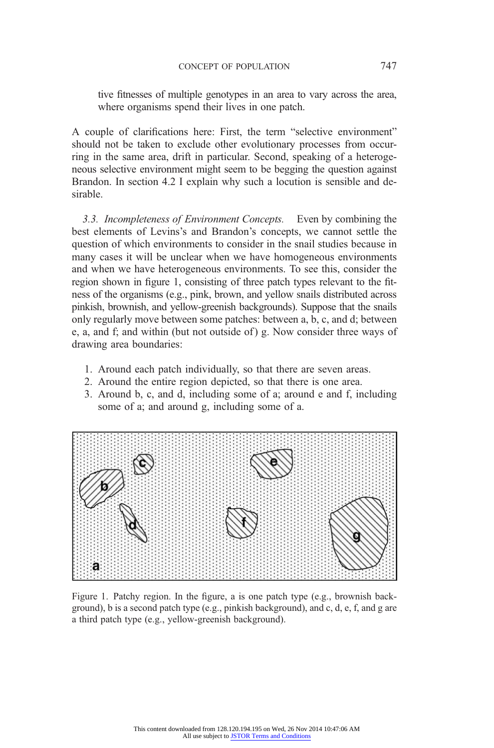tive fitnesses of multiple genotypes in an area to vary across the area, where organisms spend their lives in one patch.

A couple of clarifications here: First, the term "selective environment" should not be taken to exclude other evolutionary processes from occurring in the same area, drift in particular. Second, speaking of a heterogeneous selective environment might seem to be begging the question against Brandon. In section 4.2 I explain why such a locution is sensible and desirable.

3.3. Incompleteness of Environment Concepts. Even by combining the best elements of Levins's and Brandon's concepts, we cannot settle the question of which environments to consider in the snail studies because in many cases it will be unclear when we have homogeneous environments and when we have heterogeneous environments. To see this, consider the region shown in figure 1, consisting of three patch types relevant to the fitness of the organisms (e.g., pink, brown, and yellow snails distributed across pinkish, brownish, and yellow-greenish backgrounds). Suppose that the snails only regularly move between some patches: between a, b, c, and d; between e, a, and f; and within (but not outside of ) g. Now consider three ways of drawing area boundaries:

- 1. Around each patch individually, so that there are seven areas.
- 2. Around the entire region depicted, so that there is one area.
- 3. Around b, c, and d, including some of a; around e and f, including some of a; and around g, including some of a.



Figure 1. Patchy region. In the figure, a is one patch type (e.g., brownish background), b is a second patch type (e.g., pinkish background), and c, d, e, f, and g are a third patch type (e.g., yellow-greenish background).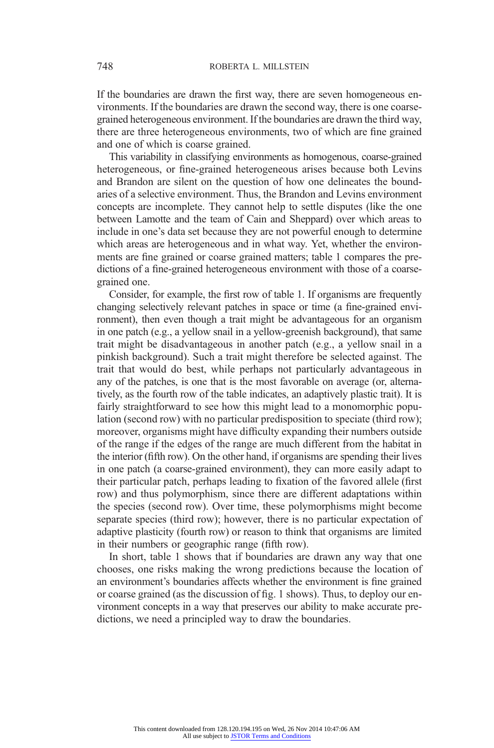If the boundaries are drawn the first way, there are seven homogeneous environments. If the boundaries are drawn the second way, there is one coarsegrained heterogeneous environment. If the boundaries are drawn the third way, there are three heterogeneous environments, two of which are fine grained and one of which is coarse grained.

This variability in classifying environments as homogenous, coarse-grained heterogeneous, or fine-grained heterogeneous arises because both Levins and Brandon are silent on the question of how one delineates the boundaries of a selective environment. Thus, the Brandon and Levins environment concepts are incomplete. They cannot help to settle disputes (like the one between Lamotte and the team of Cain and Sheppard) over which areas to include in one's data set because they are not powerful enough to determine which areas are heterogeneous and in what way. Yet, whether the environments are fine grained or coarse grained matters; table 1 compares the predictions of a fine-grained heterogeneous environment with those of a coarsegrained one.

Consider, for example, the first row of table 1. If organisms are frequently changing selectively relevant patches in space or time (a fine-grained environment), then even though a trait might be advantageous for an organism in one patch (e.g., a yellow snail in a yellow-greenish background), that same trait might be disadvantageous in another patch (e.g., a yellow snail in a pinkish background). Such a trait might therefore be selected against. The trait that would do best, while perhaps not particularly advantageous in any of the patches, is one that is the most favorable on average (or, alternatively, as the fourth row of the table indicates, an adaptively plastic trait). It is fairly straightforward to see how this might lead to a monomorphic population (second row) with no particular predisposition to speciate (third row); moreover, organisms might have difficulty expanding their numbers outside of the range if the edges of the range are much different from the habitat in the interior (fifth row). On the other hand, if organisms are spending their lives in one patch (a coarse-grained environment), they can more easily adapt to their particular patch, perhaps leading to fixation of the favored allele (first row) and thus polymorphism, since there are different adaptations within the species (second row). Over time, these polymorphisms might become separate species (third row); however, there is no particular expectation of adaptive plasticity (fourth row) or reason to think that organisms are limited in their numbers or geographic range (fifth row).

In short, table 1 shows that if boundaries are drawn any way that one chooses, one risks making the wrong predictions because the location of an environment's boundaries affects whether the environment is fine grained or coarse grained (as the discussion of fig. 1 shows). Thus, to deploy our environment concepts in a way that preserves our ability to make accurate predictions, we need a principled way to draw the boundaries.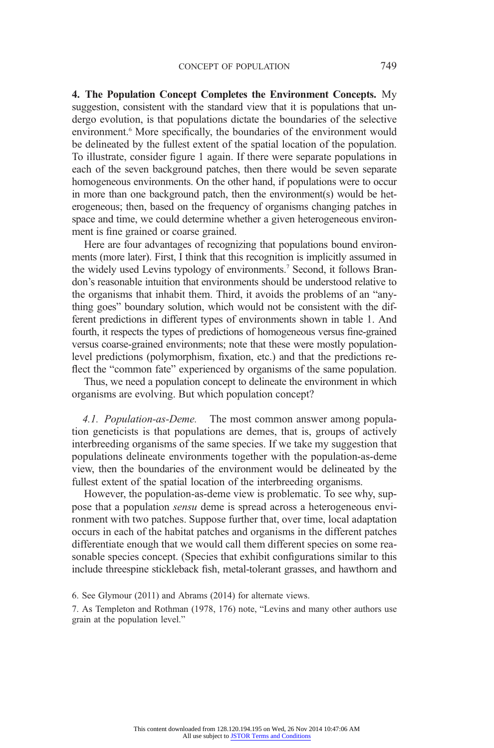4. The Population Concept Completes the Environment Concepts. My suggestion, consistent with the standard view that it is populations that undergo evolution, is that populations dictate the boundaries of the selective environment.<sup>6</sup> More specifically, the boundaries of the environment would be delineated by the fullest extent of the spatial location of the population. To illustrate, consider figure 1 again. If there were separate populations in each of the seven background patches, then there would be seven separate homogeneous environments. On the other hand, if populations were to occur in more than one background patch, then the environment(s) would be heterogeneous; then, based on the frequency of organisms changing patches in space and time, we could determine whether a given heterogeneous environment is fine grained or coarse grained.

Here are four advantages of recognizing that populations bound environments (more later). First, I think that this recognition is implicitly assumed in the widely used Levins typology of environments.<sup>7</sup> Second, it follows Brandon's reasonable intuition that environments should be understood relative to the organisms that inhabit them. Third, it avoids the problems of an "anything goes" boundary solution, which would not be consistent with the different predictions in different types of environments shown in table 1. And fourth, it respects the types of predictions of homogeneous versus fine-grained versus coarse-grained environments; note that these were mostly populationlevel predictions (polymorphism, fixation, etc.) and that the predictions reflect the "common fate" experienced by organisms of the same population.

Thus, we need a population concept to delineate the environment in which organisms are evolving. But which population concept?

4.1. Population-as-Deme. The most common answer among population geneticists is that populations are demes, that is, groups of actively interbreeding organisms of the same species. If we take my suggestion that populations delineate environments together with the population-as-deme view, then the boundaries of the environment would be delineated by the fullest extent of the spatial location of the interbreeding organisms.

However, the population-as-deme view is problematic. To see why, suppose that a population sensu deme is spread across a heterogeneous environment with two patches. Suppose further that, over time, local adaptation occurs in each of the habitat patches and organisms in the different patches differentiate enough that we would call them different species on some reasonable species concept. (Species that exhibit configurations similar to this include threespine stickleback fish, metal-tolerant grasses, and hawthorn and

6. See Glymour (2011) and Abrams (2014) for alternate views.

7. As Templeton and Rothman (1978, 176) note, "Levins and many other authors use grain at the population level."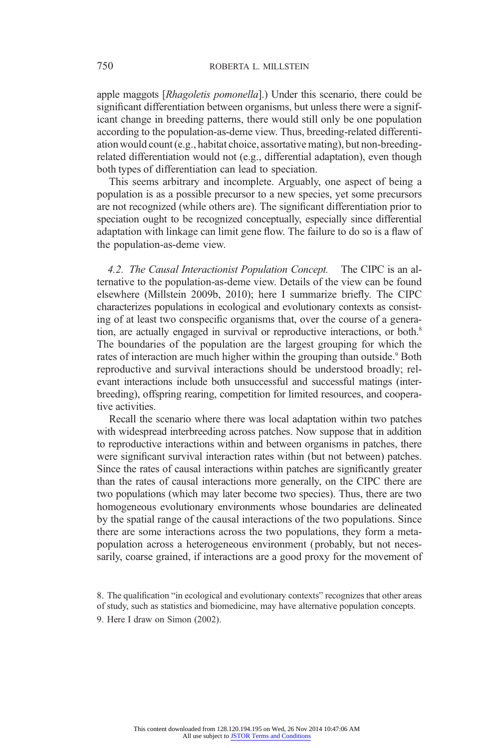apple maggots [Rhagoletis pomonella].) Under this scenario, there could be significant differentiation between organisms, but unless there were a significant change in breeding patterns, there would still only be one population according to the population-as-deme view. Thus, breeding-related differentiation would count (e.g., habitat choice, assortative mating), but non-breedingrelated differentiation would not (e.g., differential adaptation), even though both types of differentiation can lead to speciation.

This seems arbitrary and incomplete. Arguably, one aspect of being a population is as a possible precursor to a new species, yet some precursors are not recognized (while others are). The significant differentiation prior to speciation ought to be recognized conceptually, especially since differential adaptation with linkage can limit gene flow. The failure to do so is a flaw of the population-as-deme view.

4.2. The Causal Interactionist Population Concept. The CIPC is an alternative to the population-as-deme view. Details of the view can be found elsewhere (Millstein 2009b, 2010); here I summarize briefly. The CIPC characterizes populations in ecological and evolutionary contexts as consisting of at least two conspecific organisms that, over the course of a generation, are actually engaged in survival or reproductive interactions, or both.<sup>8</sup> The boundaries of the population are the largest grouping for which the rates of interaction are much higher within the grouping than outside.<sup>9</sup> Both reproductive and survival interactions should be understood broadly; relevant interactions include both unsuccessful and successful matings (interbreeding), offspring rearing, competition for limited resources, and cooperative activities.

Recall the scenario where there was local adaptation within two patches with widespread interbreeding across patches. Now suppose that in addition to reproductive interactions within and between organisms in patches, there were significant survival interaction rates within (but not between) patches. Since the rates of causal interactions within patches are significantly greater than the rates of causal interactions more generally, on the CIPC there are two populations (which may later become two species). Thus, there are two homogeneous evolutionary environments whose boundaries are delineated by the spatial range of the causal interactions of the two populations. Since there are some interactions across the two populations, they form a metapopulation across a heterogeneous environment (probably, but not necessarily, coarse grained, if interactions are a good proxy for the movement of

- 8. The qualification "in ecological and evolutionary contexts" recognizes that other areas of study, such as statistics and biomedicine, may have alternative population concepts.
- 9. Here I draw on Simon (2002).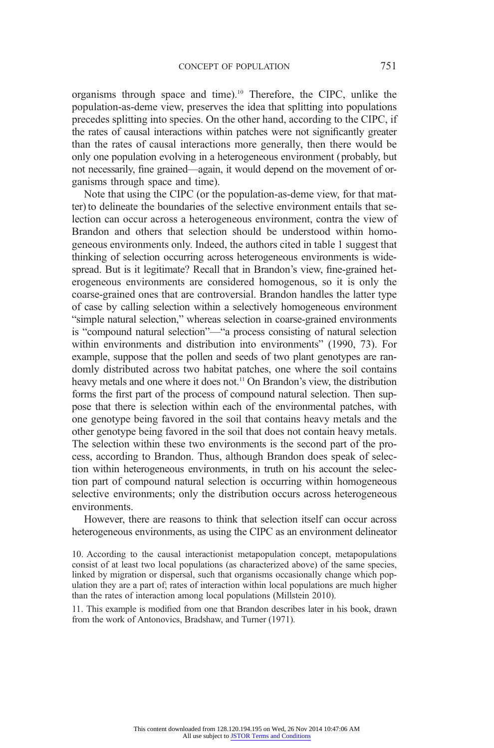organisms through space and time).10 Therefore, the CIPC, unlike the population-as-deme view, preserves the idea that splitting into populations precedes splitting into species. On the other hand, according to the CIPC, if the rates of causal interactions within patches were not significantly greater than the rates of causal interactions more generally, then there would be only one population evolving in a heterogeneous environment (probably, but not necessarily, fine grained—again, it would depend on the movement of organisms through space and time).

Note that using the CIPC (or the population-as-deme view, for that matter) to delineate the boundaries of the selective environment entails that selection can occur across a heterogeneous environment, contra the view of Brandon and others that selection should be understood within homogeneous environments only. Indeed, the authors cited in table 1 suggest that thinking of selection occurring across heterogeneous environments is widespread. But is it legitimate? Recall that in Brandon's view, fine-grained heterogeneous environments are considered homogenous, so it is only the coarse-grained ones that are controversial. Brandon handles the latter type of case by calling selection within a selectively homogeneous environment "simple natural selection," whereas selection in coarse-grained environments is "compound natural selection"—"a process consisting of natural selection within environments and distribution into environments" (1990, 73). For example, suppose that the pollen and seeds of two plant genotypes are randomly distributed across two habitat patches, one where the soil contains heavy metals and one where it does not.<sup>11</sup> On Brandon's view, the distribution forms the first part of the process of compound natural selection. Then suppose that there is selection within each of the environmental patches, with one genotype being favored in the soil that contains heavy metals and the other genotype being favored in the soil that does not contain heavy metals. The selection within these two environments is the second part of the process, according to Brandon. Thus, although Brandon does speak of selection within heterogeneous environments, in truth on his account the selection part of compound natural selection is occurring within homogeneous selective environments; only the distribution occurs across heterogeneous environments.

However, there are reasons to think that selection itself can occur across heterogeneous environments, as using the CIPC as an environment delineator

10. According to the causal interactionist metapopulation concept, metapopulations consist of at least two local populations (as characterized above) of the same species, linked by migration or dispersal, such that organisms occasionally change which population they are a part of; rates of interaction within local populations are much higher than the rates of interaction among local populations (Millstein 2010).

11. This example is modified from one that Brandon describes later in his book, drawn from the work of Antonovics, Bradshaw, and Turner (1971).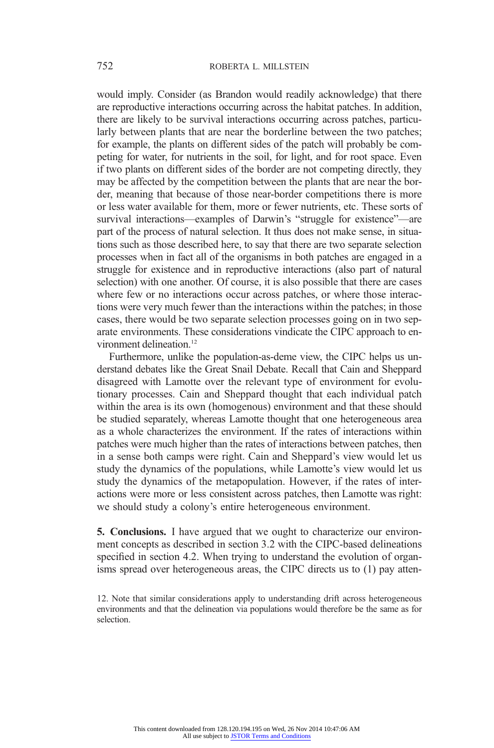would imply. Consider (as Brandon would readily acknowledge) that there are reproductive interactions occurring across the habitat patches. In addition, there are likely to be survival interactions occurring across patches, particularly between plants that are near the borderline between the two patches; for example, the plants on different sides of the patch will probably be competing for water, for nutrients in the soil, for light, and for root space. Even if two plants on different sides of the border are not competing directly, they may be affected by the competition between the plants that are near the border, meaning that because of those near-border competitions there is more or less water available for them, more or fewer nutrients, etc. These sorts of survival interactions—examples of Darwin's "struggle for existence"—are part of the process of natural selection. It thus does not make sense, in situations such as those described here, to say that there are two separate selection processes when in fact all of the organisms in both patches are engaged in a struggle for existence and in reproductive interactions (also part of natural selection) with one another. Of course, it is also possible that there are cases where few or no interactions occur across patches, or where those interactions were very much fewer than the interactions within the patches; in those cases, there would be two separate selection processes going on in two separate environments. These considerations vindicate the CIPC approach to environment delineation.<sup>12</sup>

Furthermore, unlike the population-as-deme view, the CIPC helps us understand debates like the Great Snail Debate. Recall that Cain and Sheppard disagreed with Lamotte over the relevant type of environment for evolutionary processes. Cain and Sheppard thought that each individual patch within the area is its own (homogenous) environment and that these should be studied separately, whereas Lamotte thought that one heterogeneous area as a whole characterizes the environment. If the rates of interactions within patches were much higher than the rates of interactions between patches, then in a sense both camps were right. Cain and Sheppard's view would let us study the dynamics of the populations, while Lamotte's view would let us study the dynamics of the metapopulation. However, if the rates of interactions were more or less consistent across patches, then Lamotte was right: we should study a colony's entire heterogeneous environment.

5. Conclusions. I have argued that we ought to characterize our environment concepts as described in section 3.2 with the CIPC-based delineations specified in section 4.2. When trying to understand the evolution of organisms spread over heterogeneous areas, the CIPC directs us to (1) pay atten-

<sup>12.</sup> Note that similar considerations apply to understanding drift across heterogeneous environments and that the delineation via populations would therefore be the same as for selection.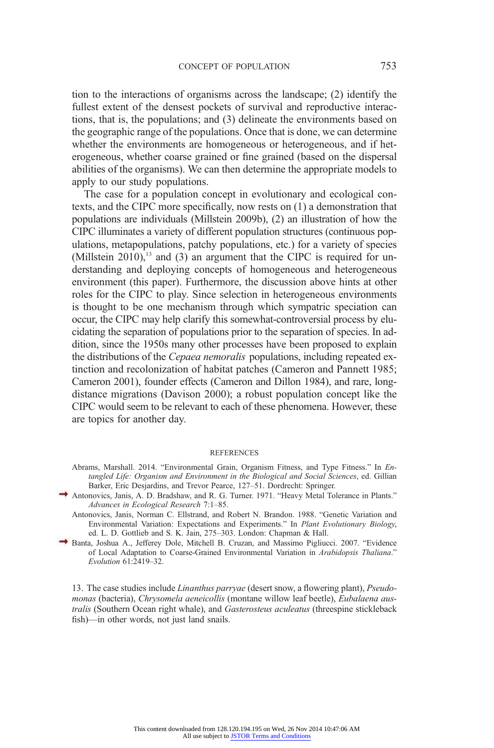tion to the interactions of organisms across the landscape; (2) identify the fullest extent of the densest pockets of survival and reproductive interactions, that is, the populations; and (3) delineate the environments based on the geographic range of the populations. Once that is done, we can determine whether the environments are homogeneous or heterogeneous, and if heterogeneous, whether coarse grained or fine grained (based on the dispersal abilities of the organisms). We can then determine the appropriate models to apply to our study populations.

The case for a population concept in evolutionary and ecological contexts, and the CIPC more specifically, now rests on (1) a demonstration that populations are individuals (Millstein 2009b), (2) an illustration of how the CIPC illuminates a variety of different population structures (continuous populations, metapopulations, patchy populations, etc.) for a variety of species (Millstein 2010),<sup>13</sup> and (3) an argument that the CIPC is required for understanding and deploying concepts of homogeneous and heterogeneous environment (this paper). Furthermore, the discussion above hints at other roles for the CIPC to play. Since selection in heterogeneous environments is thought to be one mechanism through which sympatric speciation can occur, the CIPC may help clarify this somewhat-controversial process by elucidating the separation of populations prior to the separation of species. In addition, since the 1950s many other processes have been proposed to explain the distributions of the Cepaea nemoralis populations, including repeated extinction and recolonization of habitat patches (Cameron and Pannett 1985; Cameron 2001), founder effects (Cameron and Dillon 1984), and rare, longdistance migrations (Davison 2000); a robust population concept like the CIPC would seem to be relevant to each of these phenomena. However, these are topics for another day.

## **REFERENCES**

- Abrams, Marshall. 2014. "Environmental Grain, Organism Fitness, and Type Fitness." In Entangled Life: Organism and Environment in the Biological and Social Sciences, ed. Gillian Barker, Eric Desjardins, and Trevor Pearce, 127–51. Dordrecht: Springer.
- Antonovics, Janis, A. D. Bradshaw, and R. G. Turner. 1971. "Heavy Metal Tolerance in Plants." Advances in Ecological Research 7:1–85.
	- Antonovics, Janis, Norman C. Ellstrand, and Robert N. Brandon. 1988. "Genetic Variation and Environmental Variation: Expectations and Experiments." In Plant Evolutionary Biology, ed. L. D. Gottlieb and S. K. Jain, 275–303. London: Chapman & Hall.
- Banta, Joshua A., Jefferey Dole, Mitchell B. Cruzan, and Massimo Pigliucci. 2007. "Evidence of Local Adaptation to Coarse-Grained Environmental Variation in Arabidopsis Thaliana." Evolution 61:2419–32.

13. The case studies include Linanthus parryae (desert snow, a flowering plant), Pseudomonas (bacteria), Chrysomela aeneicollis (montane willow leaf beetle), Eubalaena australis (Southern Ocean right whale), and Gasterosteus aculeatus (threespine stickleback fish)—in other words, not just land snails.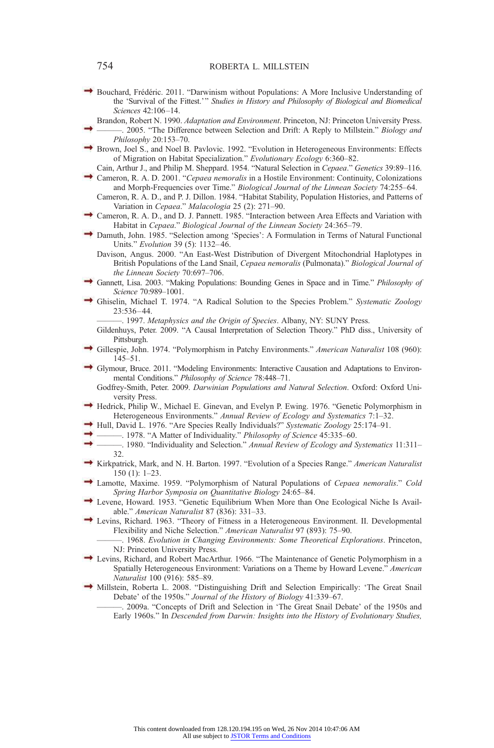- Bouchard, Frédéric. 2011. "Darwinism without Populations: A More Inclusive Understanding of the 'Survival of the Fittest.'" Studies in History and Philosophy of Biological and Biomedical Sciences 42:106–14.
- Brandon, Robert N. 1990. Adaptation and Environment. Princeton, NJ: Princeton University Press. –. 2005. "The Difference between Selection and Drift: A Reply to Millstein." Biology and Philosophy 20:153–70.
- Brown, Joel S., and Noel B. Pavlovic. 1992. "Evolution in Heterogeneous Environments: Effects of Migration on Habitat Specialization." Evolutionary Ecology 6:360–82.
- Cain, Arthur J., and Philip M. Sheppard. 1954. "Natural Selection in Cepaea." Genetics 39:89–116. Cameron, R. A. D. 2001. "Cepaea nemoralis in a Hostile Environment: Continuity, Colonizations
- and Morph-Frequencies over Time." Biological Journal of the Linnean Society 74:255–64. Cameron, R. A. D., and P. J. Dillon. 1984. "Habitat Stability, Population Histories, and Patterns of Variation in Cepaea." Malacologia 25 (2): 271–90.
- Cameron, R. A. D., and D. J. Pannett. 1985. "Interaction between Area Effects and Variation with Habitat in Cepaea." Biological Journal of the Linnean Society 24:365–79.
- Damuth, John. 1985. "Selection among 'Species': A Formulation in Terms of Natural Functional Units." Evolution 39 (5): 1132–46.
	- Davison, Angus. 2000. "An East-West Distribution of Divergent Mitochondrial Haplotypes in British Populations of the Land Snail, Cepaea nemoralis (Pulmonata)." Biological Journal of the Linnean Society 70:697–706.
- Gannett, Lisa. 2003. "Making Populations: Bounding Genes in Space and in Time." Philosophy of Science 70:989–1001.
- Ghiselin, Michael T. 1974. "A Radical Solution to the Species Problem." Systematic Zoology 23:536–44.

-. 1997. Metaphysics and the Origin of Species. Albany, NY: SUNY Press.

- Gildenhuys, Peter. 2009. "A Causal Interpretation of Selection Theory." PhD diss., University of Pittsburgh.
- Gillespie, John. 1974. "Polymorphism in Patchy Environments." American Naturalist 108 (960): 145–51.
- Glymour, Bruce. 2011. "Modeling Environments: Interactive Causation and Adaptations to Environmental Conditions." Philosophy of Science 78:448–71.
	- Godfrey-Smith, Peter. 2009. Darwinian Populations and Natural Selection. Oxford: Oxford University Press.
- $\rightarrow$  Hedrick, Philip W., Michael E. Ginevan, and Evelyn P. Ewing. 1976. "Genetic Polymorphism in Heterogeneous Environments." Annual Review of Ecology and Systematics 7:1–32.
- Hull, David L. 1976. "Are Species Really Individuals?" Systematic Zoology 25:174–91.
- -. 1978. "A Matter of Individuality." Philosophy of Science 45:335-60.
- -. 1980. "Individuality and Selection." Annual Review of Ecology and Systematics 11:311-32.
- Kirkpatrick, Mark, and N. H. Barton. 1997. "Evolution of a Species Range." American Naturalist 150 (1): 1–23.
- Lamotte, Maxime. 1959. "Polymorphism of Natural Populations of Cepaea nemoralis." Cold Spring Harbor Symposia on Quantitative Biology 24:65–84.
- Levene, Howard. 1953. "Genetic Equilibrium When More than One Ecological Niche Is Available." American Naturalist 87 (836): 331–33.
- Levins, Richard. 1963. "Theory of Fitness in a Heterogeneous Environment. II. Developmental Flexibility and Niche Selection." American Naturalist 97 (893): 75–90.
	- -. 1968. Evolution in Changing Environments: Some Theoretical Explorations. Princeton, NJ: Princeton University Press.
- Levins, Richard, and Robert MacArthur. 1966. "The Maintenance of Genetic Polymorphism in a Spatially Heterogeneous Environment: Variations on a Theme by Howard Levene." American Naturalist 100 (916): 585–89.
- Millstein, Roberta L. 2008. "Distinguishing Drift and Selection Empirically: 'The Great Snail Debate' of the 1950s." Journal of the History of Biology 41:339–67.

———. 2009a. "Concepts of Drift and Selection in 'The Great Snail Debate' of the 1950s and Early 1960s." In Descended from Darwin: Insights into the History of Evolutionary Studies,